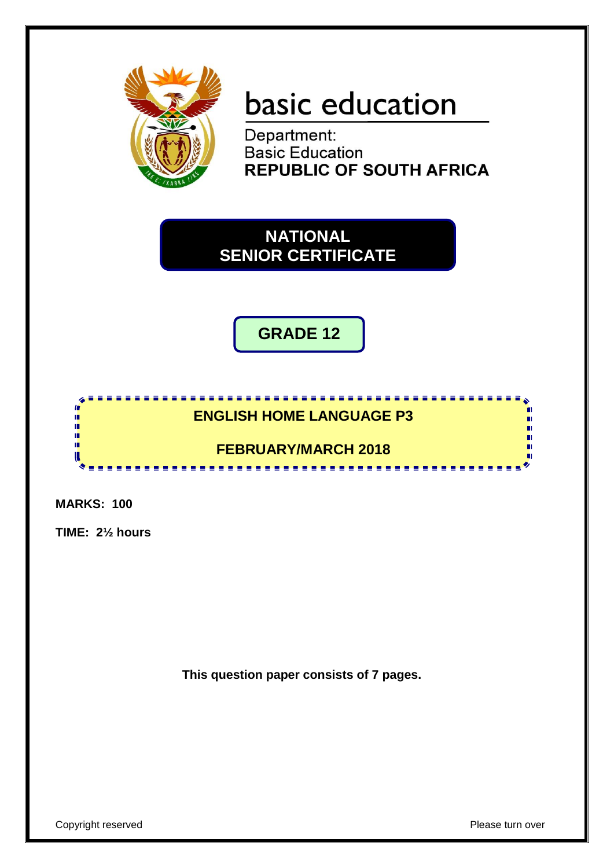

# basic education

Department: **Basic Education REPUBLIC OF SOUTH AFRICA** 

**NATIONAL SENIOR CERTIFICATE**

**GRADE 12**

## **ENGLISH HOME LANGUAGE P3**

**BEERE** 

## **FEBRUARY/MARCH 2018**

-----------

**MARKS: 100**

**In** ú, ú, Ŧ 10 π

**TIME: 2½ hours**

**This question paper consists of 7 pages.**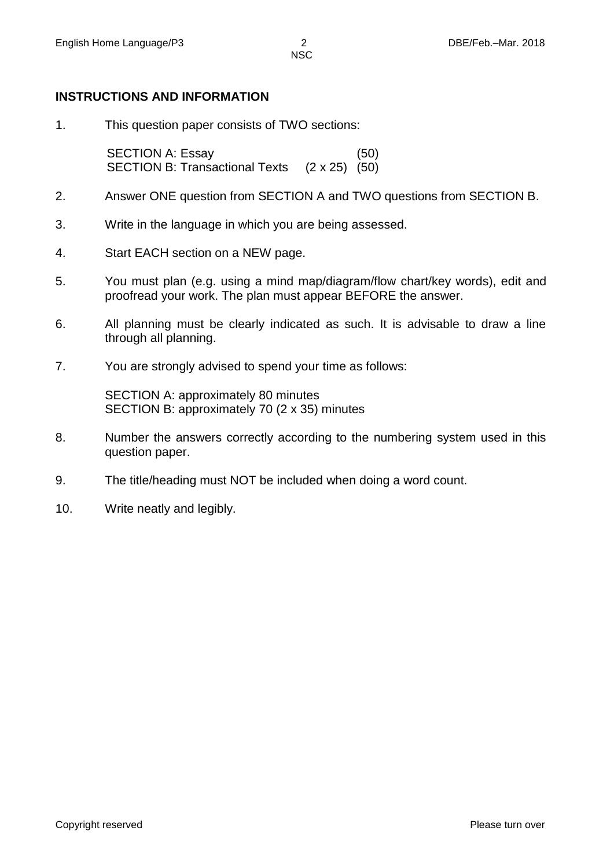**NSC** 

#### **INSTRUCTIONS AND INFORMATION**

1. This question paper consists of TWO sections:

SECTION A: Essay (50) SECTION B: Transactional Texts (2 x 25) (50)

- 2. Answer ONE question from SECTION A and TWO questions from SECTION B.
- 3. Write in the language in which you are being assessed.
- 4. Start EACH section on a NEW page.
- 5. You must plan (e.g. using a mind map/diagram/flow chart/key words), edit and proofread your work. The plan must appear BEFORE the answer.
- 6. All planning must be clearly indicated as such. It is advisable to draw a line through all planning.
- 7. You are strongly advised to spend your time as follows:

SECTION A: approximately 80 minutes SECTION B: approximately 70 (2 x 35) minutes

- 8. Number the answers correctly according to the numbering system used in this question paper.
- 9. The title/heading must NOT be included when doing a word count.
- 10. Write neatly and legibly.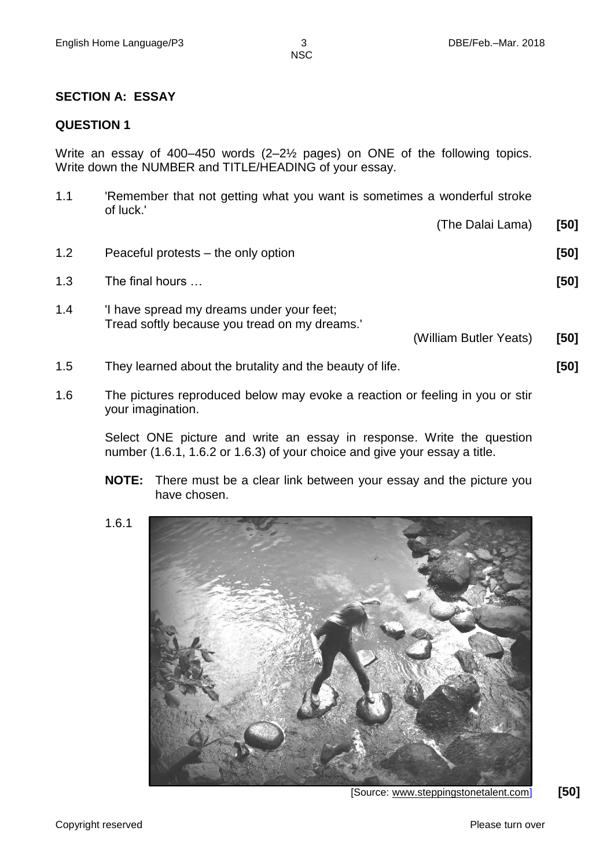NSC

#### **SECTION A: ESSAY**

#### **QUESTION 1**

Write an essay of 400–450 words (2–2½ pages) on ONE of the following topics. Write down the NUMBER and TITLE/HEADING of your essay.

| 1.1 | Remember that not getting what you want is sometimes a wonderful stroke<br>of luck.'       |                        |      |
|-----|--------------------------------------------------------------------------------------------|------------------------|------|
|     |                                                                                            | (The Dalai Lama)       | [50] |
| 1.2 | Peaceful protests – the only option                                                        |                        | [50] |
| 1.3 | The final hours                                                                            |                        | [50] |
| 1.4 | 'I have spread my dreams under your feet;<br>Tread softly because you tread on my dreams." |                        |      |
|     |                                                                                            | (William Butler Yeats) | [50] |
| 1.5 | They learned about the brutality and the beauty of life.                                   |                        | [50] |

1.6 The pictures reproduced below may evoke a reaction or feeling in you or stir your imagination.

> Select ONE picture and write an essay in response. Write the question number (1.6.1, 1.6.2 or 1.6.3) of your choice and give your essay a title.

- **NOTE:** There must be a clear link between your essay and the picture you have chosen.
- 1.6.1



[Source: [www.steppingstonetalent.com\]](http://www.steppingstonetalent.com/) **[50]**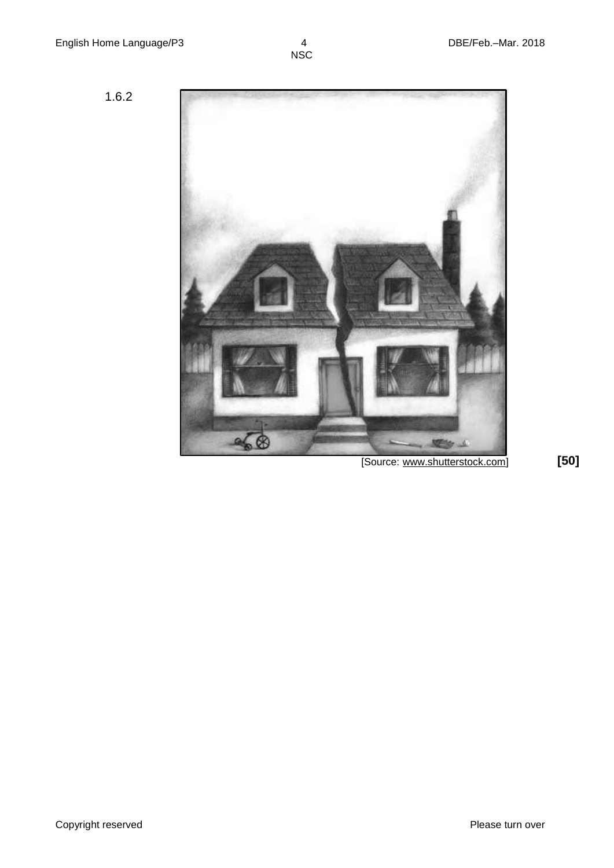1.6.2



[Source: www.shutterstock.com] **[50]**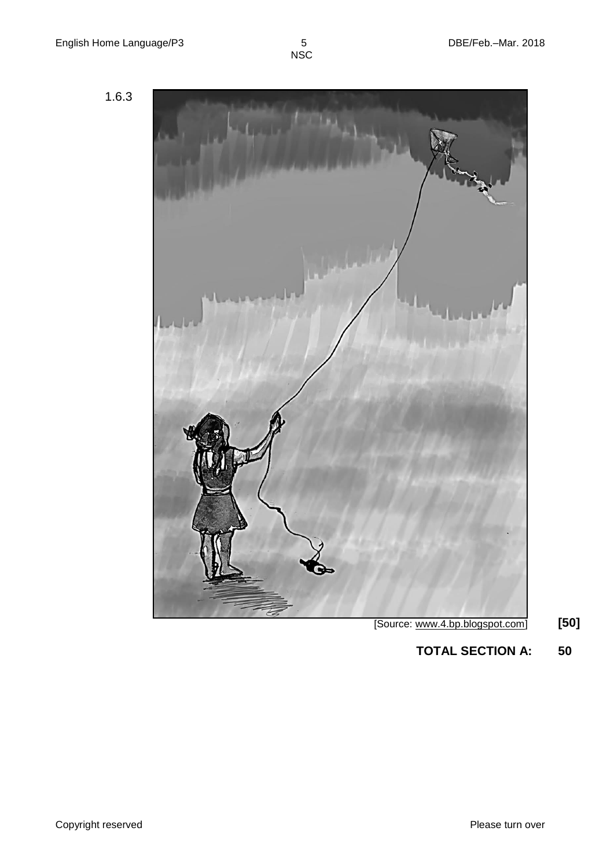5<br>NSC





**TOTAL SECTION A: 50**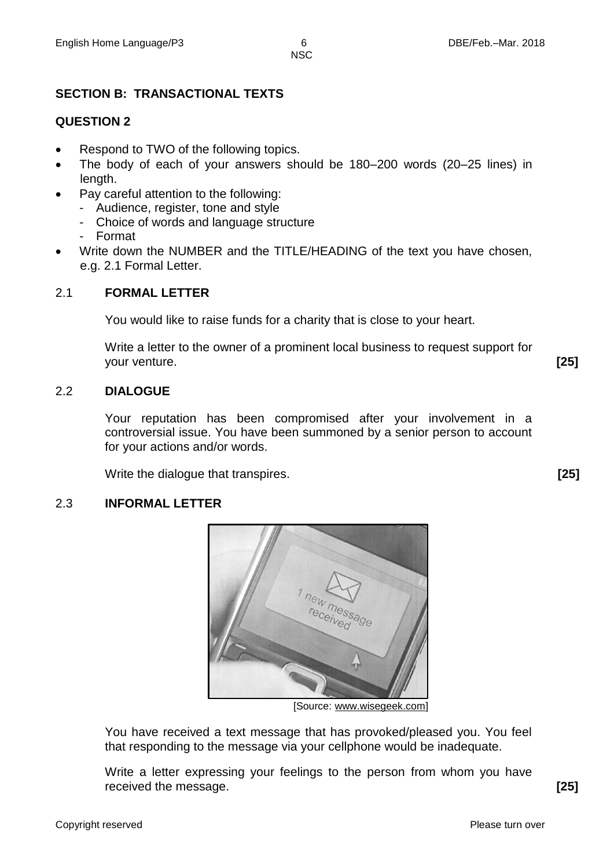**NSC** 

## **SECTION B: TRANSACTIONAL TEXTS**

### **QUESTION 2**

- Respond to TWO of the following topics.
- The body of each of your answers should be 180–200 words (20–25 lines) in length.
- Pay careful attention to the following:
	- Audience, register, tone and style
	- Choice of words and language structure
	- Format
- Write down the NUMBER and the TITLE/HEADING of the text you have chosen, e.g. 2.1 Formal Letter.

#### 2.1 **FORMAL LETTER**

You would like to raise funds for a charity that is close to your heart.

Write a letter to the owner of a prominent local business to request support for your venture. **[25]**

#### 2.2 **DIALOGUE**

Your reputation has been compromised after your involvement in a controversial issue. You have been summoned by a senior person to account for your actions and/or words.

Write the dialogue that transpires. **[25]**

#### 2.3 **INFORMAL LETTER**



[Source: www.wisegeek.com]

You have received a text message that has provoked/pleased you. You feel that responding to the message via your cellphone would be inadequate.

Write a letter expressing your feelings to the person from whom you have received the message. **[25]**